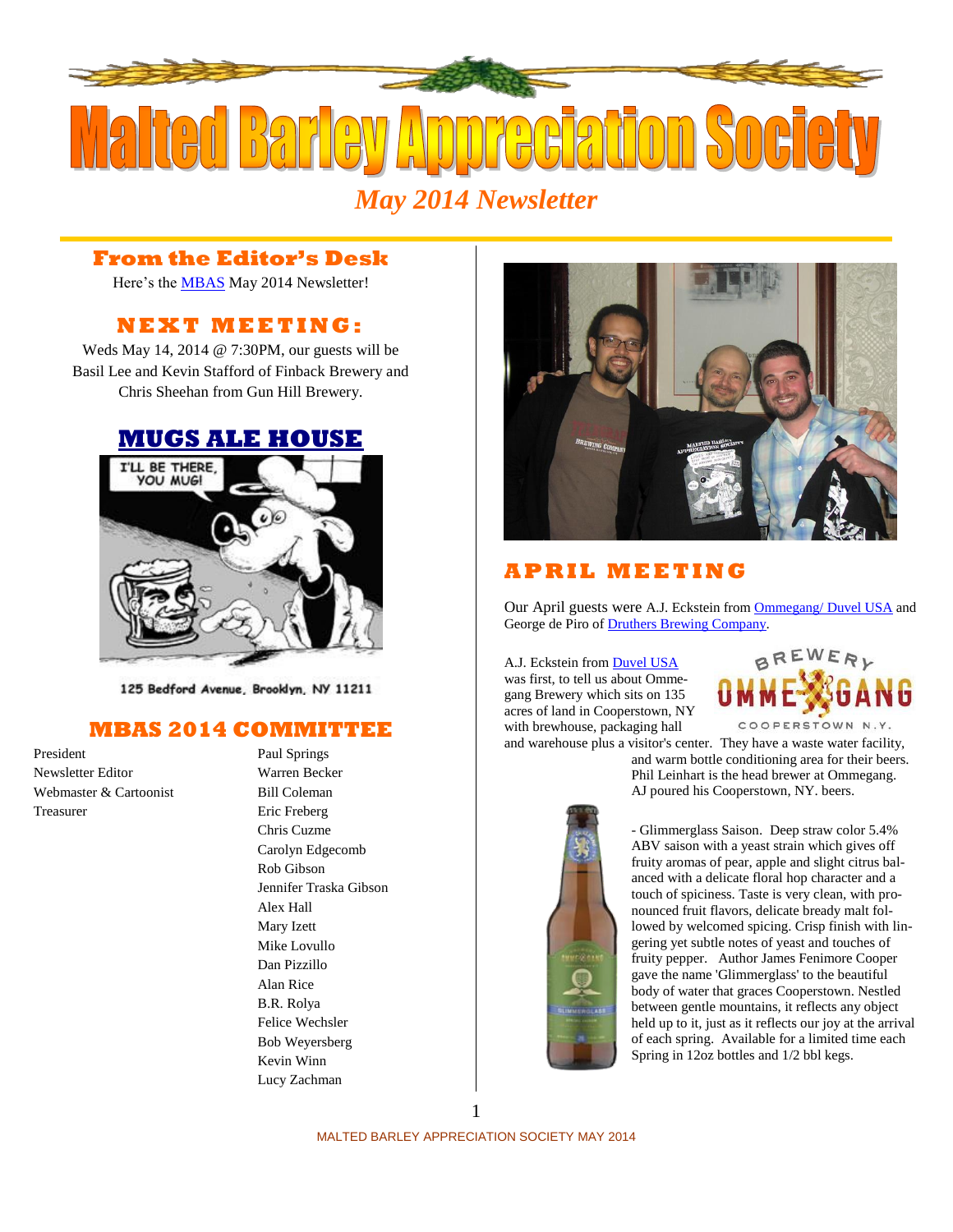

### **From the Editor's Desk**

Here's the [MBAS](http://hbd.org/mbas) May 2014 Newsletter!

## **N E X T M E ETI N G :**

Weds May 14, 2014 @ 7:30PM, our guests will be Basil Lee and Kevin Stafford of Finback Brewery and Chris Sheehan from Gun Hill Brewery.

### **[MUGS ALE HOUSE](http://www.mugsalehouse.com/)**



125 Bedford Avenue, Brooklyn, NY 11211

### **MBAS 2014 COMMITTEE**

President Paul Springs Newsletter Editor Warren Becker Webmaster & Cartoonist Bill Coleman Treasurer Eric Freberg

Chris Cuzme Carolyn Edgecomb Rob Gibson Jennifer Traska Gibson Alex Hall Mary Izett Mike Lovullo Dan Pizzillo Alan Rice B.R. Rolya Felice Wechsler Bob Weyersberg Kevin Winn Lucy Zachman



## **A P R I L M E ETI N G**

Our April guests were A.J. Eckstein from [Ommegang/ Duvel USA](http://www.ommegang.com/) and George de Piro o[f Druthers Brewing Company.](http://www.druthersbrewing.com/)

A.J. Eckstein fro[m Duvel USA](http://www.ommegang.com/) was first, to tell us about Ommegang Brewery which sits on 135 acres of land in Cooperstown, NY with brewhouse, packaging hall



COOPERSTOWN N.Y.

and warehouse plus a visitor's center. They have a waste water facility, and warm bottle conditioning area for their beers. Phil Leinhart is the head brewer at Ommegang. AJ poured his Cooperstown, NY. beers.



- Glimmerglass Saison. Deep straw color 5.4% ABV saison with a yeast strain which gives off fruity aromas of pear, apple and slight citrus balanced with a delicate floral hop character and a touch of spiciness. Taste is very clean, with pronounced fruit flavors, delicate bready malt followed by welcomed spicing. Crisp finish with lingering yet subtle notes of yeast and touches of fruity pepper. Author James Fenimore Cooper gave the name 'Glimmerglass' to the beautiful body of water that graces Cooperstown. Nestled between gentle mountains, it reflects any object held up to it, just as it reflects our joy at the arrival of each spring. Available for a limited time each Spring in 12oz bottles and 1/2 bbl kegs.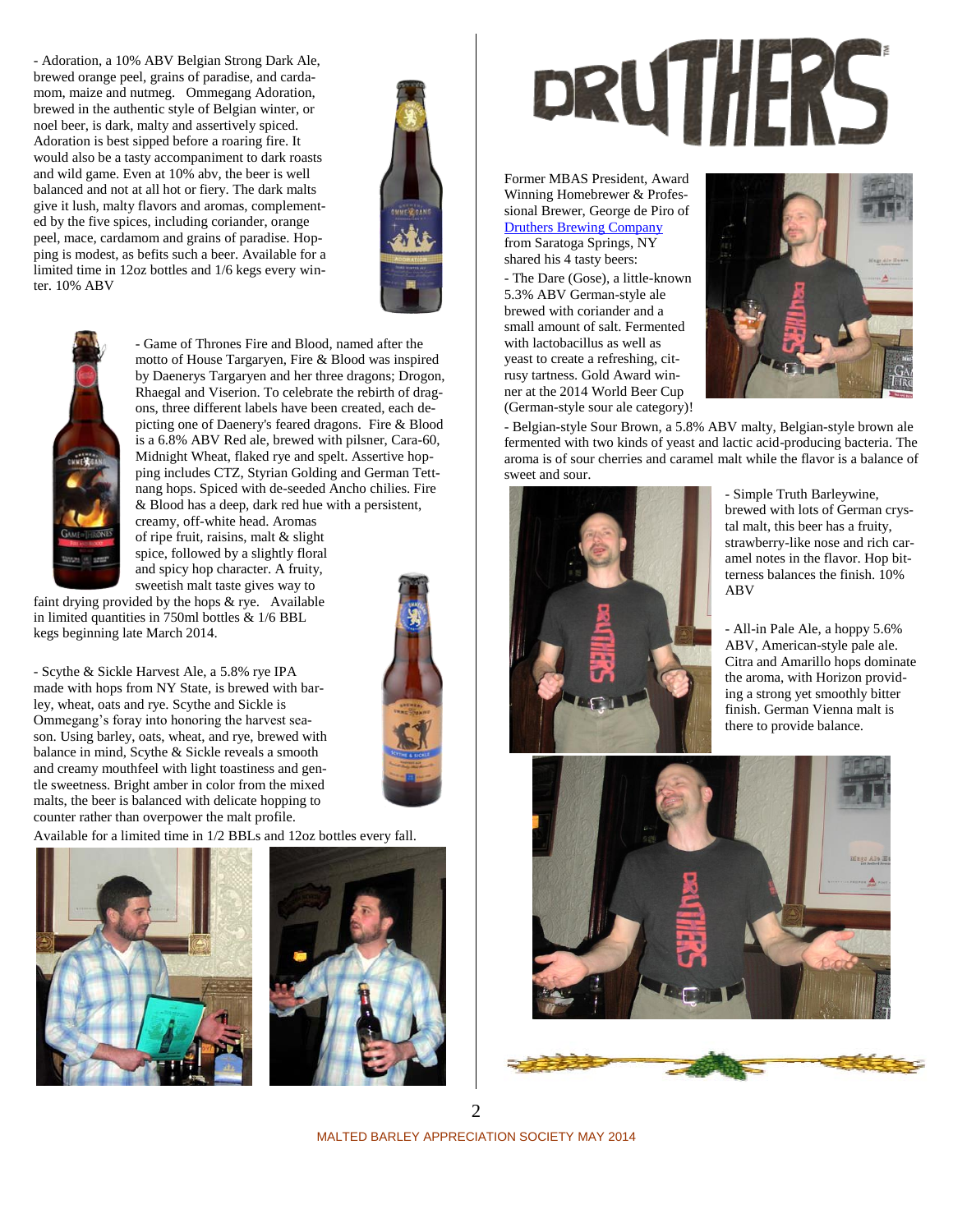- Adoration, a 10% ABV Belgian Strong Dark Ale, brewed orange peel, grains of paradise, and cardamom, maize and nutmeg. Ommegang Adoration, brewed in the authentic style of Belgian winter, or noel beer, is dark, malty and assertively spiced. Adoration is best sipped before a roaring fire. It would also be a tasty accompaniment to dark roasts and wild game. Even at 10% abv, the beer is well balanced and not at all hot or fiery. The dark malts give it lush, malty flavors and aromas, complemented by the five spices, including coriander, orange peel, mace, cardamom and grains of paradise. Hopping is modest, as befits such a beer. Available for a limited time in 12oz bottles and 1/6 kegs every winter. 10% ABV





- Game of Thrones Fire and Blood, named after the motto of House Targaryen, Fire & Blood was inspired by Daenerys Targaryen and her three dragons; Drogon, Rhaegal and Viserion. To celebrate the rebirth of dragons, three different labels have been created, each depicting one of Daenery's feared dragons. Fire & Blood is a 6.8% ABV Red ale, brewed with pilsner, Cara-60, Midnight Wheat, flaked rye and spelt. Assertive hopping includes CTZ, Styrian Golding and German Tettnang hops. Spiced with de-seeded Ancho chilies. Fire & Blood has a deep, dark red hue with a persistent, creamy, off-white head. Aromas

of ripe fruit, raisins, malt & slight spice, followed by a slightly floral and spicy hop character. A fruity, sweetish malt taste gives way to

faint drying provided by the hops & rye. Available in limited quantities in 750ml bottles & 1/6 BBL kegs beginning late March 2014.

- Scythe & Sickle Harvest Ale, a 5.8% rye IPA made with hops from NY State, is brewed with barley, wheat, oats and rye. Scythe and Sickle is Ommegang's foray into honoring the harvest season. Using barley, oats, wheat, and rye, brewed with balance in mind, Scythe & Sickle reveals a smooth and creamy mouthfeel with light toastiness and gentle sweetness. Bright amber in color from the mixed malts, the beer is balanced with delicate hopping to counter rather than overpower the malt profile.



Available for a limited time in 1/2 BBLs and 12oz bottles every fall.





# DRUTHERS

Former MBAS President, Award Winning Homebrewer & Professional Brewer, George de Piro of [Druthers Brewing Company](http://www.druthersbrewing.com/) from Saratoga Springs, NY shared his 4 tasty beers:

- The Dare (Gose), a little-known 5.3% ABV German-style ale brewed with coriander and a small amount of salt. Fermented with lactobacillus as well as yeast to create a refreshing, citrusy tartness. Gold Award winner at the 2014 World Beer Cup (German-style sour ale category)!



- Belgian-style Sour Brown, a 5.8% ABV malty, Belgian-style brown ale fermented with two kinds of yeast and lactic acid-producing bacteria. The aroma is of sour cherries and caramel malt while the flavor is a balance of sweet and sour.



- Simple Truth Barleywine, brewed with lots of German crystal malt, this beer has a fruity, strawberry-like nose and rich caramel notes in the flavor. Hop bitterness balances the finish. 10% **ABV** 

- All-in Pale Ale, a hoppy 5.6% ABV, American-style pale ale. Citra and Amarillo hops dominate the aroma, with Horizon providing a strong yet smoothly bitter finish. German Vienna malt is there to provide balance.



MALTED BARLEY APPRECIATION SOCIETY MAY 2014